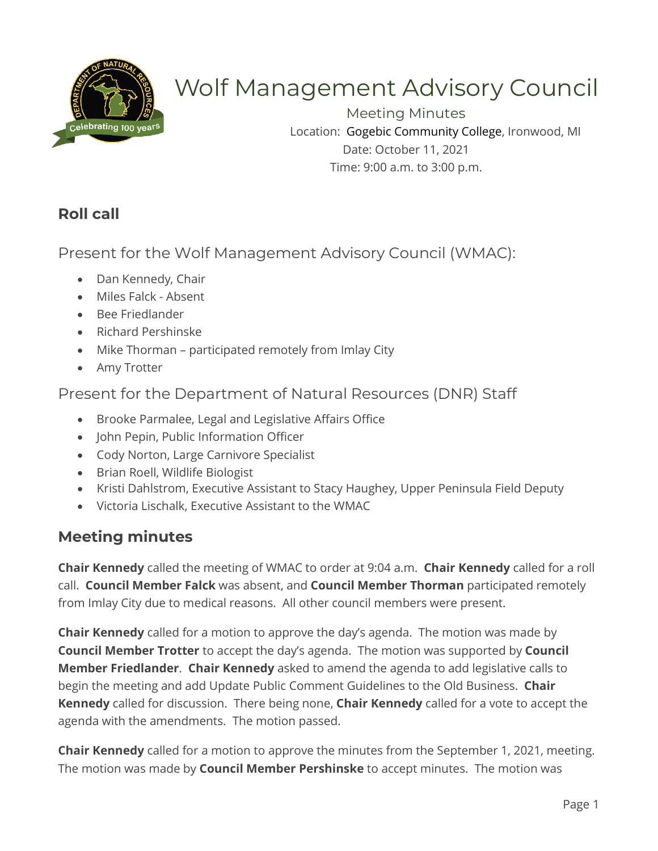

# Wolf Management Advisory Council

Meeting Minutes Location: Gogebic Community College, Ironwood, MI Date: October 11, 2021 Time: 9:00 a.m. to 3:00 p.m.

# **Roll call**

Present for the Wolf Management Advisory Council (WMAC):

- Dan Kennedy, Chair
- Miles Falck Absent
- Bee Friedlander
- Richard Pershinske
- Mike Thorman participated remotely from Imlay City
- Amy Trotter

## Present for the Department of Natural Resources (DNR) Staff

- Brooke Parmalee, Legal and Legislative Affairs Office
- John Pepin, Public Information Officer
- Cody Norton, Large Carnivore Specialist
- Brian Roell, Wildlife Biologist
- Kristi Dahlstrom, Executive Assistant to Stacy Haughey, Upper Peninsula Field Deputy
- Victoria Lischalk, Executive Assistant to the WMAC

## **Meeting minutes**

**Chair Kennedy** called the meeting of WMAC to order at 9:04 a.m. **Chair Kennedy** called for a roll call. **Council Member Falck** was absent, and **Council Member Thorman** participated remotely from Imlay City due to medical reasons. All other council members were present.

**Chair Kennedy** called for a motion to approve the day's agenda. The motion was made by **Council Member Trotter** to accept the day's agenda. The motion was supported by **Council Member Friedlander**. **Chair Kennedy** asked to amend the agenda to add legislative calls to begin the meeting and add Update Public Comment Guidelines to the Old Business. **Chair Kennedy** called for discussion. There being none, **Chair Kennedy** called for a vote to accept the agenda with the amendments. The motion passed.

**Chair Kennedy** called for a motion to approve the minutes from the September 1, 2021, meeting. The motion was made by **Council Member Pershinske** to accept minutes. The motion was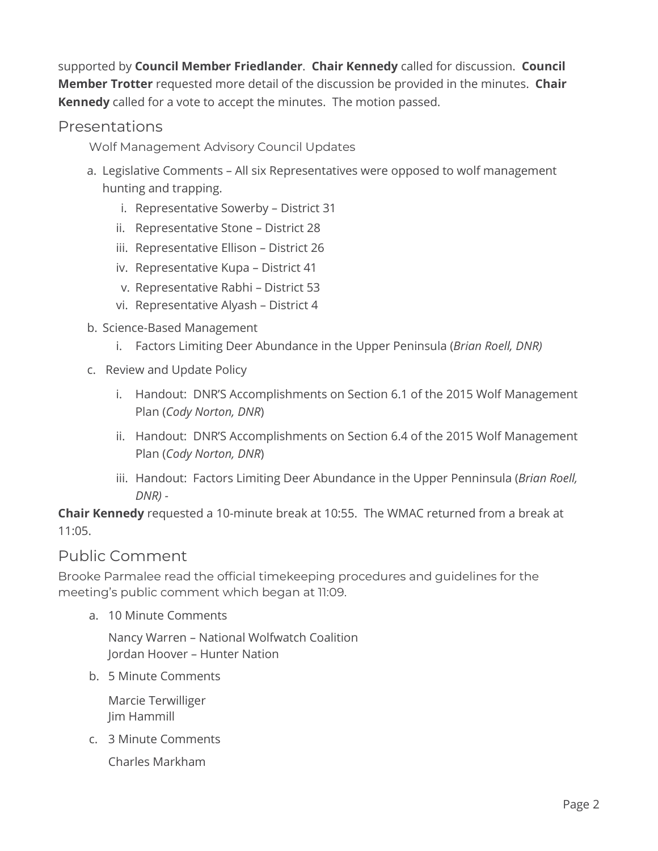supported by **Council Member Friedlander**. **Chair Kennedy** called for discussion. **Council Member Trotter** requested more detail of the discussion be provided in the minutes. **Chair Kennedy** called for a vote to accept the minutes. The motion passed.

#### Presentations

Wolf Management Advisory Council Updates

- a. Legislative Comments All six Representatives were opposed to wolf management hunting and trapping.
	- i. Representative Sowerby District 31
	- ii. Representative Stone District 28
	- iii. Representative Ellison District 26
	- iv. Representative Kupa District 41
	- v. Representative Rabhi District 53
	- vi. Representative Alyash District 4
- b. Science-Based Management
	- i. Factors Limiting Deer Abundance in the Upper Peninsula (*Brian Roell, DNR)*
- c. Review and Update Policy
	- i. Handout: DNR'S Accomplishments on Section 6.1 of the 2015 Wolf Management Plan (*Cody Norton, DNR*)
	- ii. Handout: DNR'S Accomplishments on Section 6.4 of the 2015 Wolf Management Plan (*Cody Norton, DNR*)
	- iii. Handout: Factors Limiting Deer Abundance in the Upper Penninsula (*Brian Roell, DNR) -*

**Chair Kennedy** requested a 10-minute break at 10:55. The WMAC returned from a break at 11:05.

## Public Comment

Brooke Parmalee read the official timekeeping procedures and guidelines for the meeting's public comment which began at 11:09.

a. 10 Minute Comments

Nancy Warren – National Wolfwatch Coalition Jordan Hoover – Hunter Nation

b. 5 Minute Comments

Marcie Terwilliger Jim Hammill

c. 3 Minute Comments

Charles Markham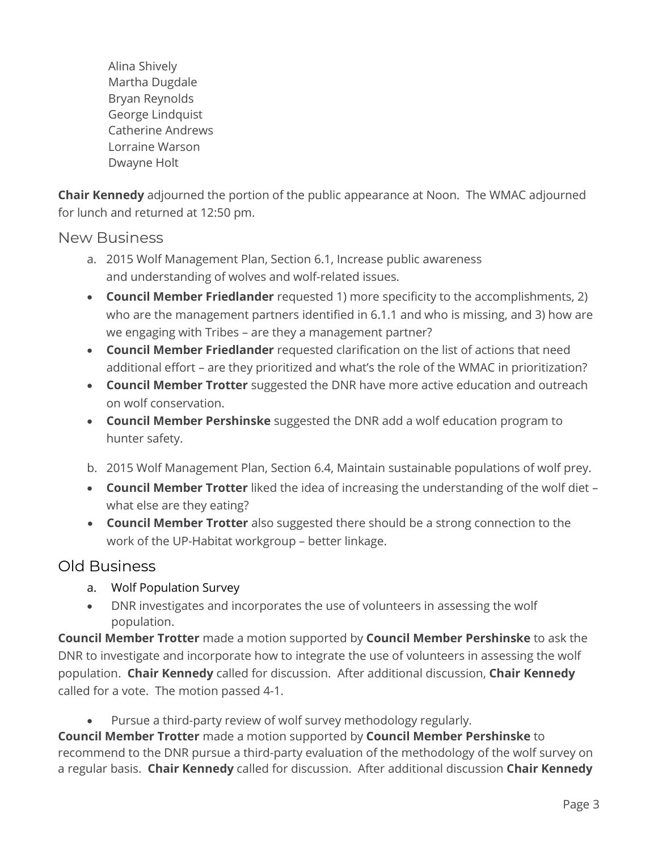Alina Shively Martha Dugdale Bryan Reynolds George Lindquist Catherine Andrews Lorraine Warson Dwayne Holt

**Chair Kennedy** adjourned the portion of the public appearance at Noon. The WMAC adjourned for lunch and returned at 12:50 pm.

New Business

- a. 2015 Wolf Management Plan, Section 6.1, Increase public awareness and understanding of wolves and wolf-related issues.
- **Council Member Friedlander** requested 1) more specificity to the accomplishments, 2) who are the management partners identified in 6.1.1 and who is missing, and 3) how are we engaging with Tribes – are they a management partner?
- **Council Member Friedlander** requested clarification on the list of actions that need additional effort – are they prioritized and what's the role of the WMAC in prioritization?
- **Council Member Trotter** suggested the DNR have more active education and outreach on wolf conservation.
- **Council Member Pershinske** suggested the DNR add a wolf education program to hunter safety.
- b. 2015 Wolf Management Plan, Section 6.4, Maintain sustainable populations of wolf prey.
- **Council Member Trotter** liked the idea of increasing the understanding of the wolf diet what else are they eating?
- **Council Member Trotter** also suggested there should be a strong connection to the work of the UP-Habitat workgroup – better linkage.

## Old Business

- a. Wolf Population Survey
- DNR investigates and incorporates the use of volunteers in assessing the wolf population.

**Council Member Trotter** made a motion supported by **Council Member Pershinske** to ask the DNR to investigate and incorporate how to integrate the use of volunteers in assessing the wolf population. **Chair Kennedy** called for discussion. After additional discussion, **Chair Kennedy**  called for a vote. The motion passed 4-1.

Pursue a third-party review of wolf survey methodology regularly.

**Council Member Trotter** made a motion supported by **Council Member Pershinske** to recommend to the DNR pursue a third-party evaluation of the methodology of the wolf survey on a regular basis. **Chair Kennedy** called for discussion. After additional discussion **Chair Kennedy**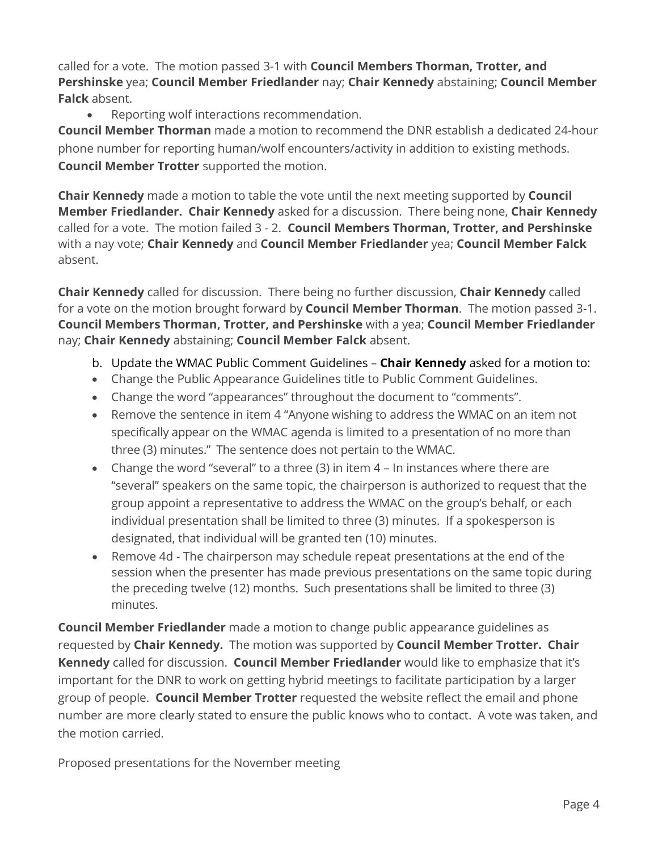called for a vote. The motion passed 3-1 with **Council Members Thorman, Trotter, and Pershinske** yea; **Council Member Friedlander** nay; **Chair Kennedy** abstaining; **Council Member Falck** absent.

• Reporting wolf interactions recommendation.

**Council Member Thorman** made a motion to recommend the DNR establish a dedicated 24-hour phone number for reporting human/wolf encounters/activity in addition to existing methods. **Council Member Trotter** supported the motion.

**Chair Kennedy** made a motion to table the vote until the next meeting supported by **Council Member Friedlander. Chair Kennedy** asked for a discussion. There being none, **Chair Kennedy**  called for a vote. The motion failed 3 - 2. **Council Members Thorman, Trotter, and Pershinske** with a nay vote; **Chair Kennedy** and **Council Member Friedlander** yea; **Council Member Falck** absent.

**Chair Kennedy** called for discussion. There being no further discussion, **Chair Kennedy** called for a vote on the motion brought forward by **Council Member Thorman**. The motion passed 3-1. **Council Members Thorman, Trotter, and Pershinske** with a yea; **Council Member Friedlander** nay; **Chair Kennedy** abstaining; **Council Member Falck** absent.

- b. Update the WMAC Public Comment Guidelines **Chair Kennedy** asked for a motion to:
- Change the Public Appearance Guidelines title to Public Comment Guidelines.
- Change the word "appearances" throughout the document to "comments".
- Remove the sentence in item 4 "Anyone wishing to address the WMAC on an item not specifically appear on the WMAC agenda is limited to a presentation of no more than three (3) minutes." The sentence does not pertain to the WMAC.
- Change the word "several" to a three (3) in item 4 In instances where there are "several" speakers on the same topic, the chairperson is authorized to request that the group appoint a representative to address the WMAC on the group's behalf, or each individual presentation shall be limited to three (3) minutes. If a spokesperson is designated, that individual will be granted ten (10) minutes.
- Remove 4d The chairperson may schedule repeat presentations at the end of the session when the presenter has made previous presentations on the same topic during the preceding twelve (12) months. Such presentations shall be limited to three (3) minutes.

**Council Member Friedlander** made a motion to change public appearance guidelines as requested by **Chair Kennedy.** The motion was supported by **Council Member Trotter. Chair Kennedy** called for discussion. **Council Member Friedlander** would like to emphasize that it's important for the DNR to work on getting hybrid meetings to facilitate participation by a larger group of people. **Council Member Trotter** requested the website reflect the email and phone number are more clearly stated to ensure the public knows who to contact. A vote was taken, and the motion carried.

Proposed presentations for the November meeting